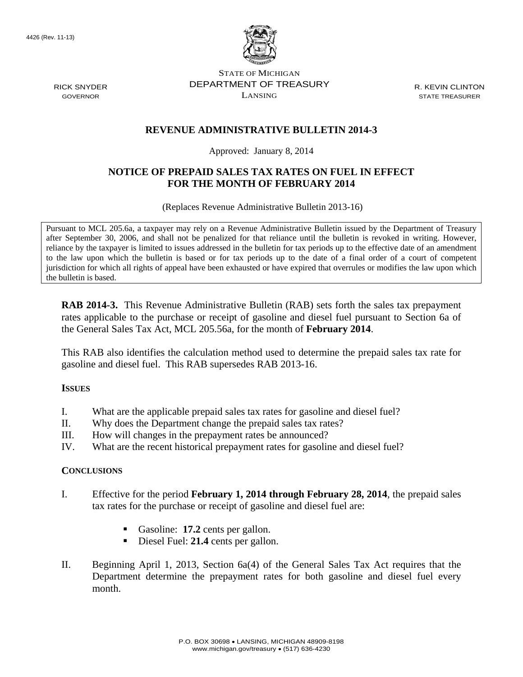

STATE OF MICHIGAN DEPARTMENT OF TREASURY LANSING

R. KEVIN CLINTON STATE TREASURER

## **REVENUE ADMINISTRATIVE BULLETIN 2014-3**

Approved: January 8, 2014

# **NOTICE OF PREPAID SALES TAX RATES ON FUEL IN EFFECT FOR THE MONTH OF FEBRUARY 2014**

(Replaces Revenue Administrative Bulletin 2013-16)

Pursuant to MCL 205.6a, a taxpayer may rely on a Revenue Administrative Bulletin issued by the Department of Treasury after September 30, 2006, and shall not be penalized for that reliance until the bulletin is revoked in writing. However, reliance by the taxpayer is limited to issues addressed in the bulletin for tax periods up to the effective date of an amendment to the law upon which the bulletin is based or for tax periods up to the date of a final order of a court of competent jurisdiction for which all rights of appeal have been exhausted or have expired that overrules or modifies the law upon which the bulletin is based.

**RAB 2014-3.** This Revenue Administrative Bulletin (RAB) sets forth the sales tax prepayment rates applicable to the purchase or receipt of gasoline and diesel fuel pursuant to Section 6a of the General Sales Tax Act, MCL 205.56a, for the month of **February 2014**.

This RAB also identifies the calculation method used to determine the prepaid sales tax rate for gasoline and diesel fuel. This RAB supersedes RAB 2013-16.

### **ISSUES**

- I. What are the applicable prepaid sales tax rates for gasoline and diesel fuel?
- II. Why does the Department change the prepaid sales tax rates?
- III. How will changes in the prepayment rates be announced?
- IV. What are the recent historical prepayment rates for gasoline and diesel fuel?

### **CONCLUSIONS**

- I. Effective for the period **February 1, 2014 through February 28, 2014**, the prepaid sales tax rates for the purchase or receipt of gasoline and diesel fuel are:
	- Gasoline: **17.2** cents per gallon.
	- Diesel Fuel: 21.4 cents per gallon.
- II. Beginning April 1, 2013, Section 6a(4) of the General Sales Tax Act requires that the Department determine the prepayment rates for both gasoline and diesel fuel every month.

RICK SNYDER GOVERNOR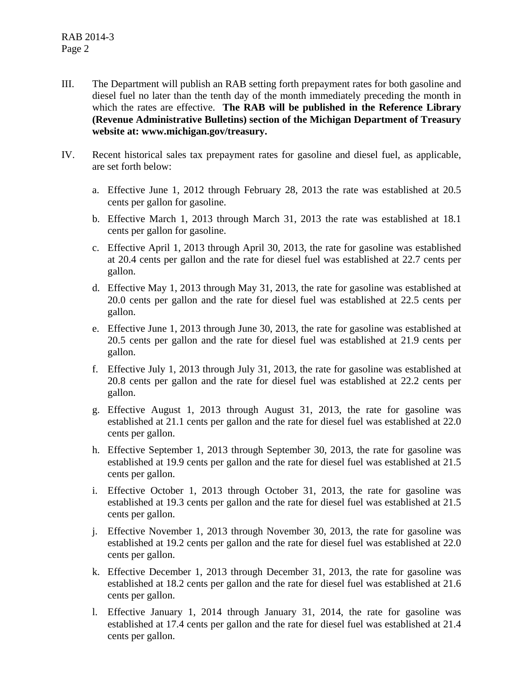- III. The Department will publish an RAB setting forth prepayment rates for both gasoline and diesel fuel no later than the tenth day of the month immediately preceding the month in which the rates are effective. **The RAB will be published in the Reference Library (Revenue Administrative Bulletins) section of the Michigan Department of Treasury website at: www.michigan.gov/treasury.**
- IV. Recent historical sales tax prepayment rates for gasoline and diesel fuel, as applicable, are set forth below:
	- a. Effective June 1, 2012 through February 28, 2013 the rate was established at 20.5 cents per gallon for gasoline.
	- b. Effective March 1, 2013 through March 31, 2013 the rate was established at 18.1 cents per gallon for gasoline.
	- c. Effective April 1, 2013 through April 30, 2013, the rate for gasoline was established at 20.4 cents per gallon and the rate for diesel fuel was established at 22.7 cents per gallon.
	- d. Effective May 1, 2013 through May 31, 2013, the rate for gasoline was established at 20.0 cents per gallon and the rate for diesel fuel was established at 22.5 cents per gallon.
	- e. Effective June 1, 2013 through June 30, 2013, the rate for gasoline was established at 20.5 cents per gallon and the rate for diesel fuel was established at 21.9 cents per gallon.
	- f. Effective July 1, 2013 through July 31, 2013, the rate for gasoline was established at 20.8 cents per gallon and the rate for diesel fuel was established at 22.2 cents per gallon.
	- g. Effective August 1, 2013 through August 31, 2013, the rate for gasoline was established at 21.1 cents per gallon and the rate for diesel fuel was established at 22.0 cents per gallon.
	- h. Effective September 1, 2013 through September 30, 2013, the rate for gasoline was established at 19.9 cents per gallon and the rate for diesel fuel was established at 21.5 cents per gallon.
	- i. Effective October 1, 2013 through October 31, 2013, the rate for gasoline was established at 19.3 cents per gallon and the rate for diesel fuel was established at 21.5 cents per gallon.
	- j. Effective November 1, 2013 through November 30, 2013, the rate for gasoline was established at 19.2 cents per gallon and the rate for diesel fuel was established at 22.0 cents per gallon.
	- k. Effective December 1, 2013 through December 31, 2013, the rate for gasoline was established at 18.2 cents per gallon and the rate for diesel fuel was established at 21.6 cents per gallon.
	- l. Effective January 1, 2014 through January 31, 2014, the rate for gasoline was established at 17.4 cents per gallon and the rate for diesel fuel was established at 21.4 cents per gallon.